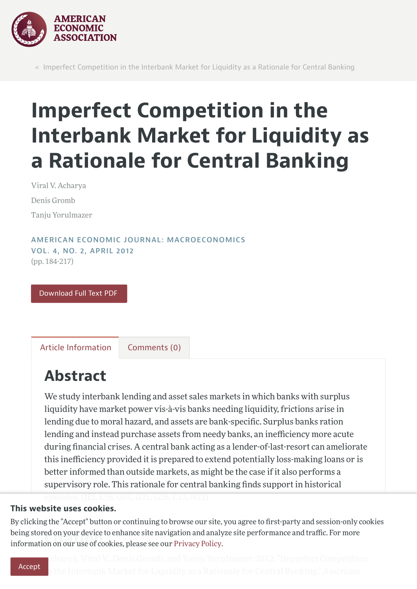

< Imperfect Competition in the Interbank Market for Liquidity as a Rationale for Central Banking

# Imperfect Competition in the Interbank Market for Liquidity as a Rationale for Central Banking

Viral V. Acharya Denis Gromb Tanju Yorulmazer

AMERICAN ECONOMIC JOURNAL: [MACROECONOMICS](https://www.aeaweb.org/issues/241) VOL. 4, NO. 2, [APRIL](https://www.aeaweb.org/issues/241) 2012 (pp. 184-217)

[Download](https://www.aeaweb.org/articles/pdf/doi/10.1257/mac.4.2.184) Full Text PDF

Article [Information](#page-0-0) Comments (0)

### <span id="page-0-0"></span>Abstract

We study interbank lending and asset sales markets in which banks with surplus liquidity have market power vis-à-vis banks needing liquidity, frictions arise in lending due to moral hazard, and assets are bank-specific. Surplus banks ration lending and instead purchase assets from needy banks, an inefficiency more acute during financial crises. A central bank acting as a lender-of-last-resort can ameliorate this inefficiency provided it is prepared to extend potentially loss-making loans or is better informed than outside markets, as might be the case if it also performs a supervisory role. This rationale for central banking finds support in historical

#### This website uses cookies.

being stored on your device to ennance site navigation and analy<br>information on our use of cookies, please see our [Privacy](https://www.aeaweb.org/privacypolicy) Policy. By clicking the "Accept" button or continuing to browse our site, you agree to first-party and session-only cookies being stored on your device to enhance site navigation and analyze site performance and traffic. For more